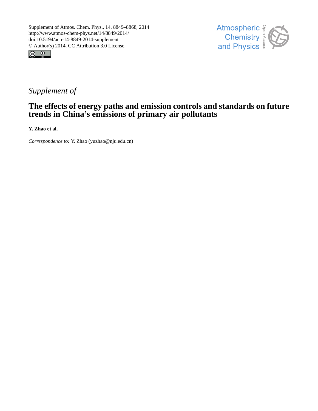



## *Supplement of*

### **The effects of energy paths and emission controls and standards on future trends in China's emissions of primary air pollutants**

**Y. Zhao et al.**

*Correspondence to:* Y. Zhao (yuzhao@nju.edu.cn)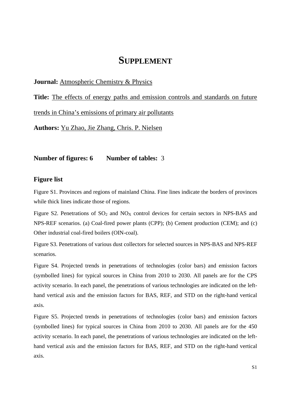# **SUPPLEMENT**

#### **Journal:** Atmospheric Chemistry & Physics

**Title:** The effects of energy paths and emission controls and standards on future

trends in China's emissions of primary air pollutants

**Authors:** Yu Zhao, Jie Zhang, Chris. P. Nielsen

**Number of figures: 6 Number of tables:** 3

#### **Figure list**

Figure S1. Provinces and regions of mainland China. Fine lines indicate the borders of provinces while thick lines indicate those of regions.

Figure S2. Penetrations of  $SO_2$  and  $NO<sub>X</sub>$  control devices for certain sectors in NPS-BAS and NPS-REF scenarios. (a) Coal-fired power plants (CPP); (b) Cement production (CEM); and (c) Other industrial coal-fired boilers (OIN-coal).

Figure S3. Penetrations of various dust collectors for selected sources in NPS-BAS and NPS-REF scenarios.

Figure S4. Projected trends in penetrations of technologies (color bars) and emission factors (symbolled lines) for typical sources in China from 2010 to 2030. All panels are for the CPS activity scenario. In each panel, the penetrations of various technologies are indicated on the lefthand vertical axis and the emission factors for BAS, REF, and STD on the right-hand vertical axis.

Figure S5. Projected trends in penetrations of technologies (color bars) and emission factors (symbolled lines) for typical sources in China from 2010 to 2030. All panels are for the 450 activity scenario. In each panel, the penetrations of various technologies are indicated on the lefthand vertical axis and the emission factors for BAS, REF, and STD on the right-hand vertical axis.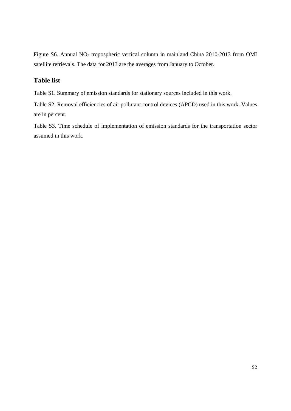Figure S6. Annual NO2 tropospheric vertical column in mainland China 2010-2013 from OMI satellite retrievals. The data for 2013 are the averages from January to October.

### **Table list**

Table S1. Summary of emission standards for stationary sources included in this work.

Table S2. Removal efficiencies of air pollutant control devices (APCD) used in this work. Values are in percent.

Table S3. Time schedule of implementation of emission standards for the transportation sector assumed in this work.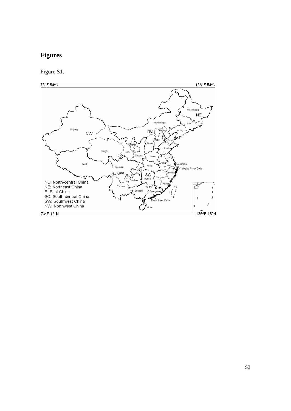## **Figures**

Figure S1.

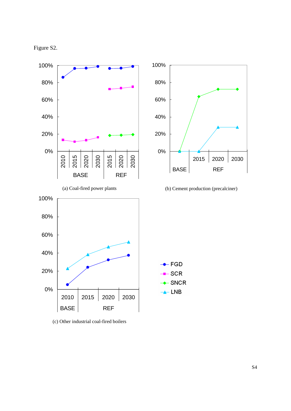



(c) Other industrial coal-fired boilers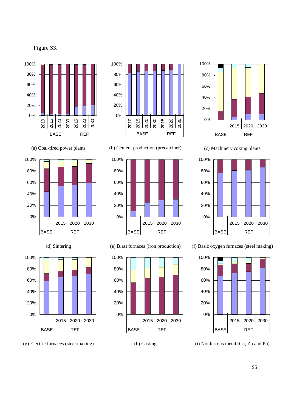Figure S3.











(g) Electric furnaces (steel making)



(b) Cement production (precalciner)



(e) Blast furnaces (iron production)







(c) Machinery coking plants









S5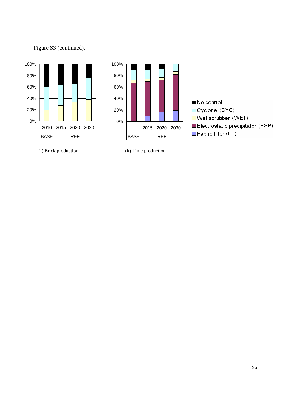

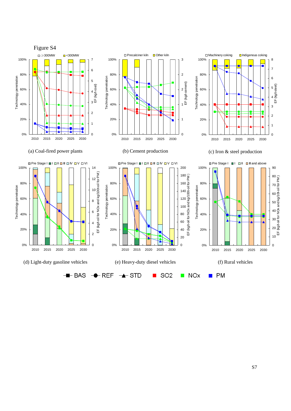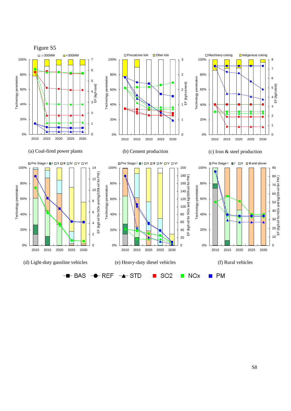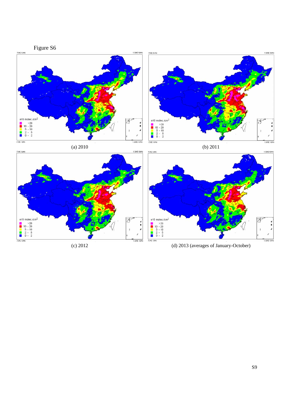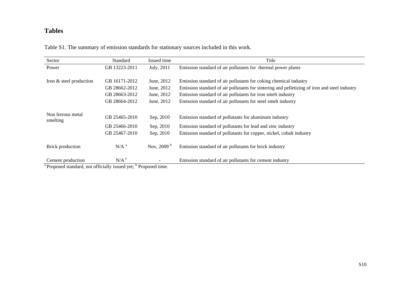#### **Tables**

Table S1. The summary of emission standards for stationary sources included in this work.

| Sector                                                                                                     | <b>Standard</b>  | Issued time                                                                    | Title                                                                                        |  |  |  |
|------------------------------------------------------------------------------------------------------------|------------------|--------------------------------------------------------------------------------|----------------------------------------------------------------------------------------------|--|--|--|
| Power                                                                                                      | GB 13223-2011    | July, 2011                                                                     | Emission standard of air pollutants for thermal power plants                                 |  |  |  |
|                                                                                                            |                  |                                                                                |                                                                                              |  |  |  |
| Iron & steel production                                                                                    | GB 16171-2012    | Emission standard of air pollutants for coking chemical industry<br>June, 2012 |                                                                                              |  |  |  |
|                                                                                                            | GB 28662-2012    | June, 2012                                                                     | Emission standard of air pollutants for sintering and pelletizing of iron and steel industry |  |  |  |
|                                                                                                            | GB 28663-2012    | June, 2012                                                                     | Emission standard of air pollutants for iron smelt industry                                  |  |  |  |
|                                                                                                            | GB 28664-2012    | June, 2012                                                                     | Emission standard of air pollutants for steel smelt industry                                 |  |  |  |
|                                                                                                            |                  |                                                                                |                                                                                              |  |  |  |
| Non ferrous metal<br>smelting                                                                              | GB 25465-2010    | Sep, 2010                                                                      | Emission standard of pollutants for aluminum industry                                        |  |  |  |
|                                                                                                            | GB 25466-2010    | Sep, 2010                                                                      | Emission standard of pollutants for lead and zinc industry                                   |  |  |  |
|                                                                                                            | GB 25467-2010    | Sep, 2010                                                                      | Emission standard of pollutants for copper, nickel, cobalt industry                          |  |  |  |
| Brick production                                                                                           | N/A <sup>a</sup> | Nov, 2009 $^{\rm b}$                                                           | Emission standard of air pollutants for brick industry                                       |  |  |  |
| Cement production<br><sup>a</sup> Drapaged standard, not officially issued yet; <sup>b</sup> Drapaged time | N/A <sup>a</sup> |                                                                                | Emission standard of air pollutants for cement industry                                      |  |  |  |

<sup>a</sup> Proposed standard, not officially issued yet; <sup>b</sup> Proposed time.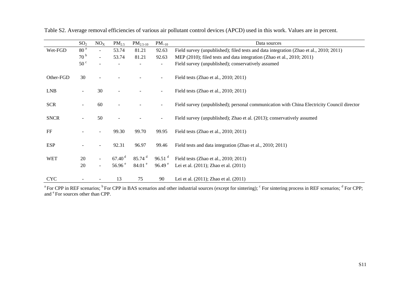|             | SO <sub>2</sub> | NO <sub>X</sub> | PM <sub>2.5</sub>  | $PM_{2.5-10}$        | $PM_{>10}$                   | Data sources                                                                               |  |  |  |
|-------------|-----------------|-----------------|--------------------|----------------------|------------------------------|--------------------------------------------------------------------------------------------|--|--|--|
| Wet-FGD     | 80 <sup>a</sup> |                 | 53.74              | 81.21                | 92.63                        | Field survey (unpublished); filed tests and data integration (Zhao et al., 2010; 2011)     |  |  |  |
|             | 70 <sup>b</sup> | $\blacksquare$  | 53.74              | 81.21                | 92.63                        | MEP (2010); filed tests and data integration (Zhao et al., 2010; 2011)                     |  |  |  |
|             | 50 <sup>c</sup> |                 |                    |                      | ÷                            | Field survey (unpublished); conservatively assumed                                         |  |  |  |
| Other-FGD   | 30              |                 |                    |                      | $\blacksquare$               | Field tests (Zhao et al., 2010; 2011)                                                      |  |  |  |
| <b>LNB</b>  |                 | 30              |                    |                      | $\blacksquare$               | Field tests (Zhao et al., 2010; 2011)                                                      |  |  |  |
| <b>SCR</b>  |                 | 60              |                    |                      | $\blacksquare$               | Field survey (unpublished); personal communication with China Electricity Council director |  |  |  |
| <b>SNCR</b> |                 | 50              |                    |                      | $\qquad \qquad \blacksquare$ | Field survey (unpublished); Zhao et al. (2013); conservatively assumed                     |  |  |  |
| FF          |                 |                 | 99.30              | 99.70                | 99.95                        | Field tests (Zhao et al., 2010; 2011)                                                      |  |  |  |
| <b>ESP</b>  |                 |                 | 92.31              | 96.97                | 99.46                        | Field tests and data integration (Zhao et al., 2010; 2011)                                 |  |  |  |
| <b>WET</b>  | 20              |                 | 67.40 <sup>d</sup> | $85.74$ <sup>d</sup> | $96.51$ <sup>d</sup>         | Field tests (Zhao et al., 2010; 2011)                                                      |  |  |  |
|             | 20              |                 | 56.96 $^{\circ}$   | 84.01 <sup>e</sup>   | 96.49 $^{\circ}$             | Lei et al. (2011); Zhao et al. (2011)                                                      |  |  |  |
| <b>CYC</b>  |                 |                 | 13                 | 75                   | 90                           | Lei et al. (2011); Zhao et al. (2011)                                                      |  |  |  |

Table S2. Average removal efficiencies of various air pollutant control devices (APCD) used in this work. Values are in percent.

<sup>a</sup> For CPP in REF scenarios; <sup>b</sup> For CPP in BAS scenarios and other industrial sources (except for sintering);  $\degree$  For sintering process in REF scenarios;  $\degree$  For CPP; and  $\mathrm{^e}$  For sources other than CPP.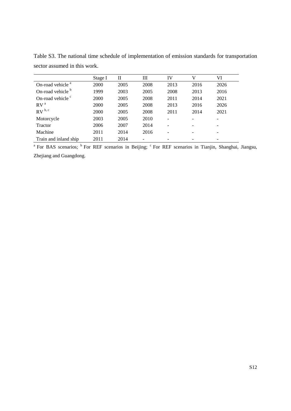|                              | Stage I | Н    | Ш    | IV   | V    | VI   |
|------------------------------|---------|------|------|------|------|------|
| On-road vehicle <sup>a</sup> | 2000    | 2005 | 2008 | 2013 | 2016 | 2026 |
| On-road vehicle <sup>b</sup> | 1999    | 2003 | 2005 | 2008 | 2013 | 2016 |
| On-road vehicle <sup>c</sup> | 2000    | 2005 | 2008 | 2011 | 2014 | 2021 |
| RV <sup>a</sup>              | 2000    | 2005 | 2008 | 2013 | 2016 | 2026 |
| $RV^{b, c}$                  | 2000    | 2005 | 2008 | 2011 | 2014 | 2021 |
| Motorcycle                   | 2003    | 2005 | 2010 |      |      |      |
| <b>Tractor</b>               | 2006    | 2007 | 2014 |      |      |      |
| Machine                      | 2011    | 2014 | 2016 |      |      |      |
| Train and inland ship        | 2011    | 2014 |      |      |      |      |

Table S3. The national time schedule of implementation of emission standards for transportation sector assumed in this work.

<sup>a</sup> For BAS scenarios; <sup>b</sup> For REF scenarios in Beijing; <sup>c</sup> For REF scenarios in Tianjin, Shanghai, Jiangsu, Zhejiang and Guangdong.